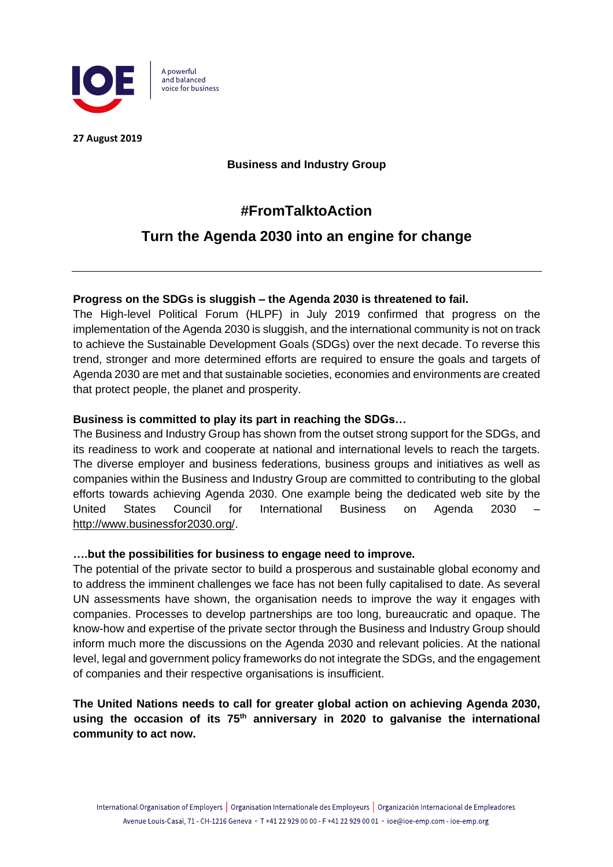

**27 August 2019**

**Business and Industry Group**

# **#FromTalktoAction**

# **Turn the Agenda 2030 into an engine for change**

## **Progress on the SDGs is sluggish – the Agenda 2030 is threatened to fail.**

The High-level Political Forum (HLPF) in July 2019 confirmed that progress on the implementation of the Agenda 2030 is sluggish, and the international community is not on track to achieve the Sustainable Development Goals (SDGs) over the next decade. To reverse this trend, stronger and more determined efforts are required to ensure the goals and targets of Agenda 2030 are met and that sustainable societies, economies and environments are created that protect people, the planet and prosperity.

## **Business is committed to play its part in reaching the SDGs…**

The Business and Industry Group has shown from the outset strong support for the SDGs, and its readiness to work and cooperate at national and international levels to reach the targets. The diverse employer and business federations, business groups and initiatives as well as companies within the Business and Industry Group are committed to contributing to the global efforts towards achieving Agenda 2030. One example being the dedicated web site by the United States Council for International Business on Agenda 2030 – [http://www.businessfor2030.org/.](http://www.businessfor2030.org/)

#### **….but the possibilities for business to engage need to improve.**

The potential of the private sector to build a prosperous and sustainable global economy and to address the imminent challenges we face has not been fully capitalised to date. As several UN assessments have shown, the organisation needs to improve the way it engages with companies. Processes to develop partnerships are too long, bureaucratic and opaque. The know-how and expertise of the private sector through the Business and Industry Group should inform much more the discussions on the Agenda 2030 and relevant policies. At the national level, legal and government policy frameworks do not integrate the SDGs, and the engagement of companies and their respective organisations is insufficient.

# **The United Nations needs to call for greater global action on achieving Agenda 2030, using the occasion of its 75th anniversary in 2020 to galvanise the international community to act now.**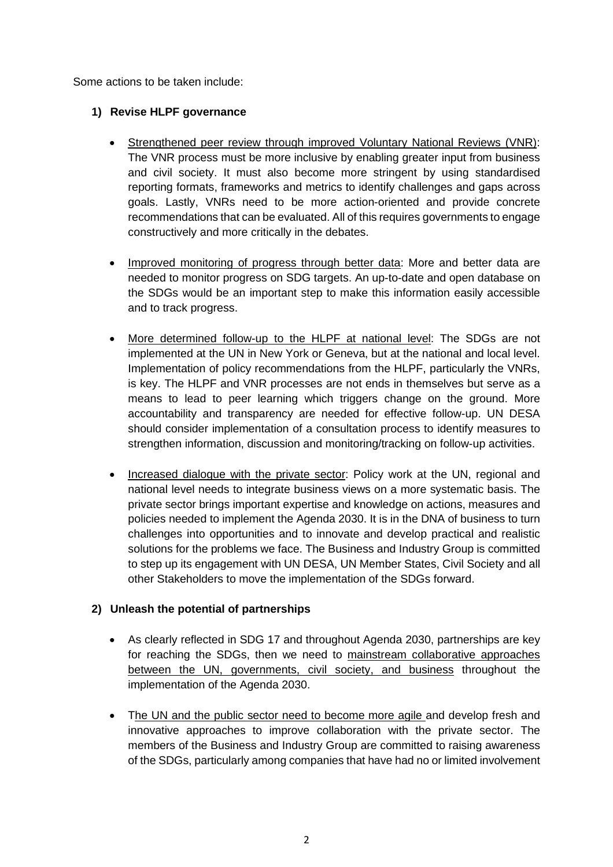Some actions to be taken include:

### **1) Revise HLPF governance**

- Strengthened peer review through improved Voluntary National Reviews (VNR): The VNR process must be more inclusive by enabling greater input from business and civil society. It must also become more stringent by using standardised reporting formats, frameworks and metrics to identify challenges and gaps across goals. Lastly, VNRs need to be more action-oriented and provide concrete recommendations that can be evaluated. All of this requires governments to engage constructively and more critically in the debates.
- Improved monitoring of progress through better data: More and better data are needed to monitor progress on SDG targets. An up-to-date and open database on the SDGs would be an important step to make this information easily accessible and to track progress.
- More determined follow-up to the HLPF at national level: The SDGs are not implemented at the UN in New York or Geneva, but at the national and local level. Implementation of policy recommendations from the HLPF, particularly the VNRs, is key. The HLPF and VNR processes are not ends in themselves but serve as a means to lead to peer learning which triggers change on the ground. More accountability and transparency are needed for effective follow-up. UN DESA should consider implementation of a consultation process to identify measures to strengthen information, discussion and monitoring/tracking on follow-up activities.
- Increased dialogue with the private sector: Policy work at the UN, regional and national level needs to integrate business views on a more systematic basis. The private sector brings important expertise and knowledge on actions, measures and policies needed to implement the Agenda 2030. It is in the DNA of business to turn challenges into opportunities and to innovate and develop practical and realistic solutions for the problems we face. The Business and Industry Group is committed to step up its engagement with UN DESA, UN Member States, Civil Society and all other Stakeholders to move the implementation of the SDGs forward.

# **2) Unleash the potential of partnerships**

- As clearly reflected in SDG 17 and throughout Agenda 2030, partnerships are key for reaching the SDGs, then we need to mainstream collaborative approaches between the UN, governments, civil society, and business throughout the implementation of the Agenda 2030.
- The UN and the public sector need to become more agile and develop fresh and innovative approaches to improve collaboration with the private sector. The members of the Business and Industry Group are committed to raising awareness of the SDGs, particularly among companies that have had no or limited involvement